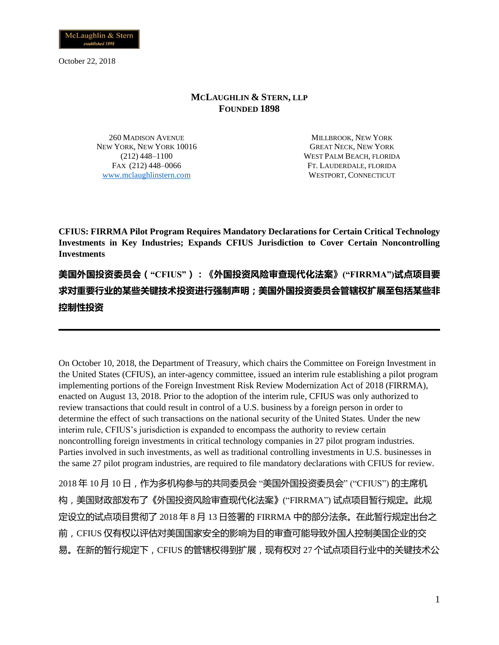

#### **MCLAUGHLIN & STERN, LLP FOUNDED 1898**

260 MADISON AVENUE NEW YORK, NEW YORK 10016 (212) 448–1100 FAX (212) 448–0066 [www.mclaughlinstern.com](http://www.mclaughlinstern.com/)

MILLBROOK, NEW YORK GREAT NECK, NEW YORK WEST PALM BEACH, FLORIDA FT. LAUDERDALE, FLORIDA WESTPORT, CONNECTICUT

**CFIUS: FIRRMA Pilot Program Requires Mandatory Declarations for Certain Critical Technology Investments in Key Industries; Expands CFIUS Jurisdiction to Cover Certain Noncontrolling Investments**

**美国外国投资委员会("CFIUS"):《外国投资风险审查现代化法案》("FIRRMA")试点项目要 求对重要行业的某些关键技术投资进行强制声明;美国外国投资委员会管辖权扩展至包括某些非 控制性投资**

On October 10, 2018, the Department of Treasury, which chairs the Committee on Foreign Investment in the United States (CFIUS), an inter-agency committee, issued an interim rule establishing a pilot program implementing portions of the Foreign Investment Risk Review Modernization Act of 2018 (FIRRMA), enacted on August 13, 2018. Prior to the adoption of the interim rule, CFIUS was only authorized to review transactions that could result in control of a U.S. business by a foreign person in order to determine the effect of such transactions on the national security of the United States. Under the new interim rule, CFIUS's jurisdiction is expanded to encompass the authority to review certain noncontrolling foreign investments in critical technology companies in 27 pilot program industries. Parties involved in such investments, as well as traditional controlling investments in U.S. businesses in the same 27 pilot program industries, are required to file mandatory declarations with CFIUS for review.

2018 年 10 月 10 日,作为多机构参与的共同委员会 "美国外国投资委员会" ("CFIUS") 的主席机 构,美国财政部发布了《外国投资风险审查现代化法案》("FIRRMA") 试点项目暂行规定。此规 定设立的试点项目贯彻了 2018 年 8 月 13 日签署的 FIRRMA 中的部分法条。在此暂行规定出台之 前,CFIUS 仅有权以评估对美国国家安全的影响为目的审查可能导致外国人控制美国企业的交 易。在新的暂行规定下,CFIUS 的管辖权得到扩展,现有权对 27 个试点项目行业中的关键技术公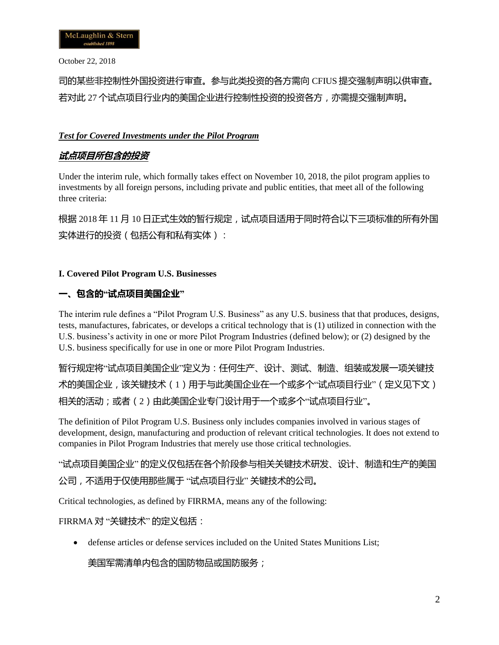司的某些非控制性外国投资进行审查。参与此类投资的各方需向 CFIUS 提交强制声明以供审查。 若对此 27 个试点项目行业内的美国企业进行控制性投资的投资各方,亦需提交强制声明。

### *Test for Covered Investments under the Pilot Program*

## **试点项目所包含的投资**

Under the interim rule, which formally takes effect on November 10, 2018, the pilot program applies to investments by all foreign persons, including private and public entities, that meet all of the following three criteria:

根据 2018 年 11 月 10 日正式生效的暂行规定,试点项目适用于同时符合以下三项标准的所有外国 实体进行的投资 ( 包括公有和私有实体 ) :

### **I. Covered Pilot Program U.S. Businesses**

## **一、包含的"试点项目美国企业"**

The interim rule defines a "Pilot Program U.S. Business" as any U.S. business that that produces, designs, tests, manufactures, fabricates, or develops a critical technology that is (1) utilized in connection with the U.S. business's activity in one or more Pilot Program Industries (defined below); or (2) designed by the U.S. business specifically for use in one or more Pilot Program Industries.

暂行规定将"试点项目美国企业"定义为:任何生产、设计、测试、制造、组装或发展一项关键技 术的美国企业,该关键技术(1)用于与此美国企业在一个或多个"试点项目行业"(定义见下文) 相关的活动;或者(2)由此美国企业专门设计用于一个或多个"试点项目行业"。

The definition of Pilot Program U.S. Business only includes companies involved in various stages of development, design, manufacturing and production of relevant critical technologies. It does not extend to companies in Pilot Program Industries that merely use those critical technologies.

"试点项目美国企业" 的定义仅包括在各个阶段参与相关关键技术研发、设计、制造和生产的美国 公司,不适用于仅使用那些属于 "试点项目行业" 关键技术的公司。

Critical technologies, as defined by FIRRMA, means any of the following:

### FIRRMA 对 "关键技术" 的定义包括:

• defense articles or defense services included on the United States Munitions List;

美国军需清单内包含的国防物品或国防服务;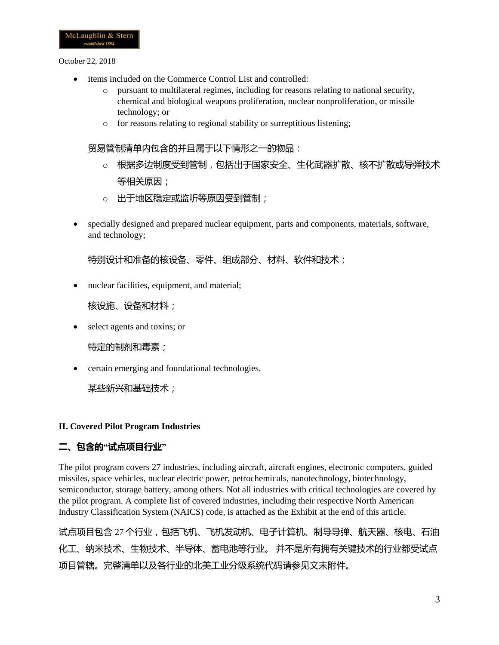- items included on the Commerce Control List and controlled:
	- o pursuant to multilateral regimes, including for reasons relating to national security, chemical and biological weapons proliferation, nuclear nonproliferation, or missile technology; or
	- o for reasons relating to regional stability or surreptitious listening;

#### 贸易管制清单内包含的并且属于以下情形之一的物品:

- o 根据多边制度受到管制,包括出于国家安全、生化武器扩散、核不扩散或导弹技术 等相关原因;
- o 出于地区稳定或监听等原因受到管制;
- specially designed and prepared nuclear equipment, parts and components, materials, software, and technology;

特别设计和准备的核设备、零件、组成部分、材料、软件和技术;

• nuclear facilities, equipment, and material;

核设施、设备和材料;

• select agents and toxins; or

特定的制剂和毒素;

• certain emerging and foundational technologies.

某些新兴和基础技术;

#### **II. Covered Pilot Program Industries**

## **二、包含的"试点项目行业"**

The pilot program covers 27 industries, including aircraft, aircraft engines, electronic computers, guided missiles, space vehicles, nuclear electric power, petrochemicals, nanotechnology, biotechnology, semiconductor, storage battery, among others. Not all industries with critical technologies are covered by the pilot program. A complete list of covered industries, including their respective North American Industry Classification System (NAICS) code, is attached as the Exhibit at the end of this article.

试点项目包含 27 个行业,包括飞机、飞机发动机、电子计算机、制导导弹、航天器、核电、石油 化工、纳米技术、生物技术、半导体、蓄电池等行业。 并不是所有拥有关键技术的行业都受试点 项目管辖。完整清单以及各行业的北美工业分级系统代码请参见文末附件。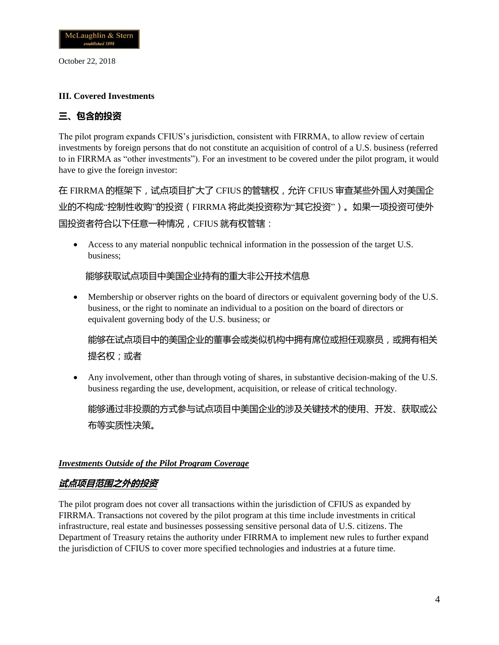

#### **III. Covered Investments**

# **三、包含的投资**

The pilot program expands CFIUS's jurisdiction, consistent with FIRRMA, to allow review of certain investments by foreign persons that do not constitute an acquisition of control of a U.S. business (referred to in FIRRMA as "other investments"). For an investment to be covered under the pilot program, it would have to give the foreign investor:

在 FIRRMA 的框架下,试点项目扩大了 CFIUS 的管辖权,允许 CFIUS 审查某些外国人对美国企 业的不构成"控制性收购"的投资(FIRRMA 将此类投资称为"其它投资")。如果一项投资可使外 国投资者符合以下任意一种情况,CFIUS 就有权管辖:

• Access to any material nonpublic technical information in the possession of the target U.S. business;

### 能够获取试点项目中美国企业持有的重大非公开技术信息

• Membership or observer rights on the board of directors or equivalent governing body of the U.S. business, or the right to nominate an individual to a position on the board of directors or equivalent governing body of the U.S. business; or

能够在试点项目中的美国企业的董事会或类似机构中拥有席位或担任观察员,或拥有相关 提名权;或者

• Any involvement, other than through voting of shares, in substantive decision-making of the U.S. business regarding the use, development, acquisition, or release of critical technology.

能够通过非投票的方式参与试点项目中美国企业的涉及关键技术的使用、开发、获取或公 布等实质性决策。

#### *Investments Outside of the Pilot Program Coverage*

### **试点项目范围之外的投资**

The pilot program does not cover all transactions within the jurisdiction of CFIUS as expanded by FIRRMA. Transactions not covered by the pilot program at this time include investments in critical infrastructure, real estate and businesses possessing sensitive personal data of U.S. citizens. The Department of Treasury retains the authority under FIRRMA to implement new rules to further expand the jurisdiction of CFIUS to cover more specified technologies and industries at a future time.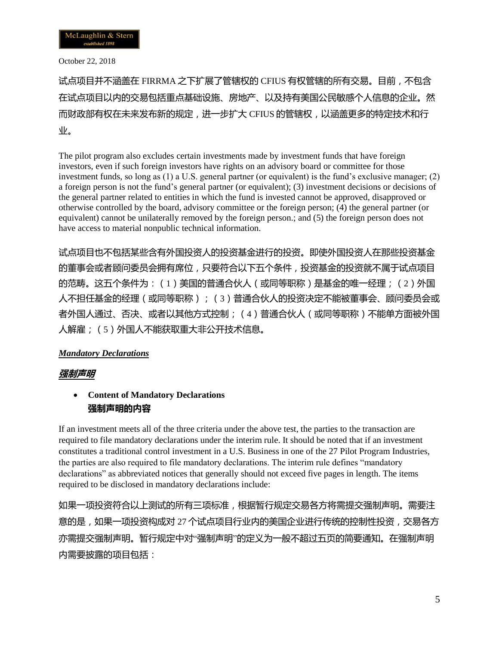试点项目并不涵盖在 FIRRMA 之下扩展了管辖权的 CFIUS 有权管辖的所有交易。目前,不包含 在试点项目以内的交易包括重点基础设施、房地产、以及持有美国公民敏感个人信息的企业。然 而财政部有权在未来发布新的规定,进一步扩大 CFIUS 的管辖权, 以涵盖更多的特定技术和行 业。

The pilot program also excludes certain investments made by investment funds that have foreign investors, even if such foreign investors have rights on an advisory board or committee for those investment funds, so long as (1) a U.S. general partner (or equivalent) is the fund's exclusive manager; (2) a foreign person is not the fund's general partner (or equivalent); (3) investment decisions or decisions of the general partner related to entities in which the fund is invested cannot be approved, disapproved or otherwise controlled by the board, advisory committee or the foreign person; (4) the general partner (or equivalent) cannot be unilaterally removed by the foreign person.; and (5) the foreign person does not have access to material nonpublic technical information.

试点项目也不包括某些含有外国投资人的投资基金进行的投资。即使外国投资人在那些投资基金 的董事会或者顾问委员会拥有席位,只要符合以下五个条件,投资基金的投资就不属于试点项目 的范畴。这五个条件为:(1)美国的普通合伙人(或同等职称)是基金的唯一经理;(2)外国 人不担任基金的经理(或同等职称);(3)普通合伙人的投资决定不能被董事会、顾问委员会或 者外国人通过、否决、或者以其他方式控制;(4)普通合伙人(或同等职称)不能单方面被外国 人解雇;(5)外国人不能获取重大非公开技术信息。

### *Mandatory Declarations*

### **强制声明**

## • **Content of Mandatory Declarations 强制声明的内容**

If an investment meets all of the three criteria under the above test, the parties to the transaction are required to file mandatory declarations under the interim rule. It should be noted that if an investment constitutes a traditional control investment in a U.S. Business in one of the 27 Pilot Program Industries, the parties are also required to file mandatory declarations. The interim rule defines "mandatory declarations" as abbreviated notices that generally should not exceed five pages in length. The items required to be disclosed in mandatory declarations include:

如果一项投资符合以上测试的所有三项标准,根据暂行规定交易各方将需提交强制声明。需要注 意的是,如果一项投资构成对 27 个试点项目行业内的美国企业进行传统的控制性投资,交易各方 亦需提交强制声明。暂行规定中对"强制声明"的定义为一般不超过五页的简要通知。在强制声明 内需要披露的项目包括: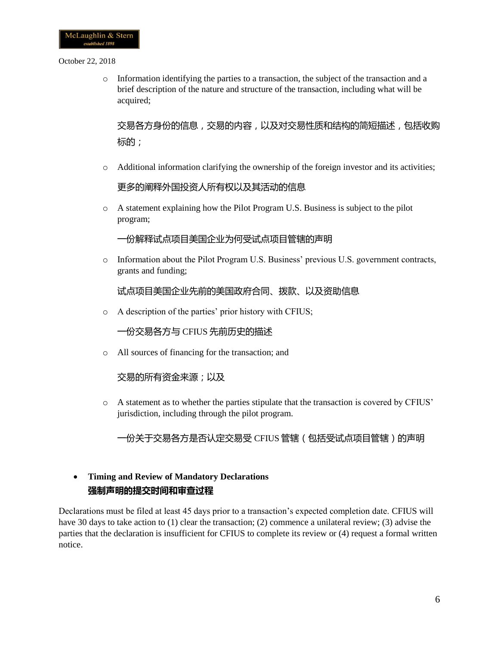o Information identifying the parties to a transaction, the subject of the transaction and a brief description of the nature and structure of the transaction, including what will be acquired;

交易各方身份的信息,交易的内容,以及对交易性质和结构的简短描述,包括收购 标的;

 $\circ$  Additional information clarifying the ownership of the foreign investor and its activities;

更多的阐释外国投资人所有权以及其活动的信息

o A statement explaining how the Pilot Program U.S. Business is subject to the pilot program;

一份解释试点项目美国企业为何受试点项目管辖的声明

o Information about the Pilot Program U.S. Business' previous U.S. government contracts, grants and funding;

试点项目美国企业先前的美国政府合同、拨款、以及资助信息

o A description of the parties' prior history with CFIUS;

一份交易各方与 CFIUS 先前历史的描述

o All sources of financing for the transaction; and

交易的所有资金来源;以及

o A statement as to whether the parties stipulate that the transaction is covered by CFIUS' jurisdiction, including through the pilot program.

一份关于交易各方是否认定交易受 CFIUS 管辖(包括受试点项目管辖)的声明

## • **Timing and Review of Mandatory Declarations 强制声明的提交时间和审查过程**

Declarations must be filed at least 45 days prior to a transaction's expected completion date. CFIUS will have 30 days to take action to (1) clear the transaction; (2) commence a unilateral review; (3) advise the parties that the declaration is insufficient for CFIUS to complete its review or (4) request a formal written notice.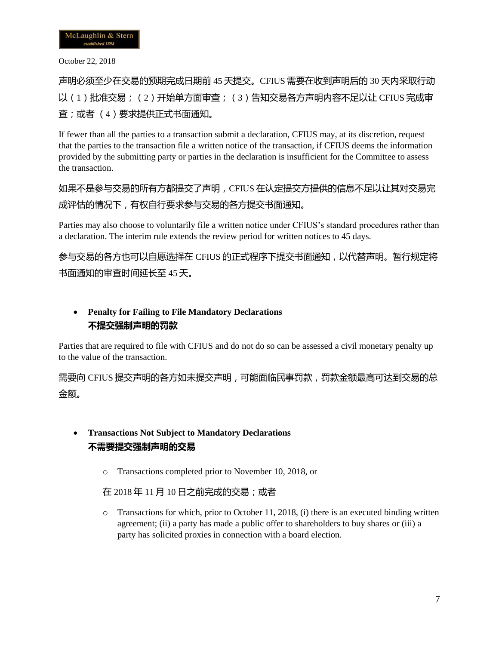声明必须至少在交易的预期完成日期前 45 天提交。CFIUS 需要在收到声明后的 30 天内采取行动 以 (1) 批准交易; (2) 开始单方面审查; (3) 告知交易各方声明内容不足以让 CFIUS 完成审 查;或者 (4)要求提供正式书面通知。

If fewer than all the parties to a transaction submit a declaration, CFIUS may, at its discretion, request that the parties to the transaction file a written notice of the transaction, if CFIUS deems the information provided by the submitting party or parties in the declaration is insufficient for the Committee to assess the transaction.

如果不是参与交易的所有方都提交了声明,CFIUS 在认定提交方提供的信息不足以让其对交易完 成评估的情况下,有权自行要求参与交易的各方提交书面通知。

Parties may also choose to voluntarily file a written notice under CFIUS's standard procedures rather than a declaration. The interim rule extends the review period for written notices to 45 days.

参与交易的各方也可以自愿选择在 CFIUS 的正式程序下提交书面通知,以代替声明。暂行规定将 书面通知的审查时间延长至 45 天。

## • **Penalty for Failing to File Mandatory Declarations 不提交强制声明的罚款**

Parties that are required to file with CFIUS and do not do so can be assessed a civil monetary penalty up to the value of the transaction.

需要向 CFIUS 提交声明的各方如未提交声明, 可能面临民事罚款, 罚款金额最高可达到交易的总 金额。

# • **Transactions Not Subject to Mandatory Declarations 不需要提交强制声明的交易**

o Transactions completed prior to November 10, 2018, or

在 2018 年 11 月 10 日之前完成的交易;或者

 $\circ$  Transactions for which, prior to October 11, 2018, (i) there is an executed binding written agreement; (ii) a party has made a public offer to shareholders to buy shares or (iii) a party has solicited proxies in connection with a board election.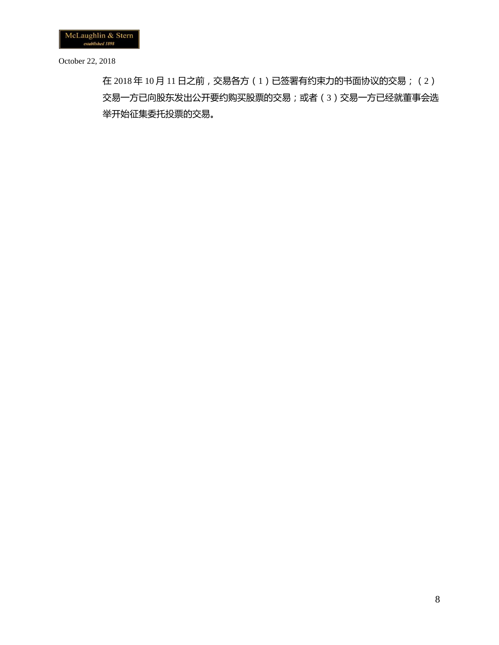在 2018 年 10 月 11 日之前,交易各方(1)已签署有约束力的书面协议的交易;(2) 交易一方已向股东发出公开要约购买股票的交易;或者(3)交易一方已经就董事会选 举开始征集委托投票的交易。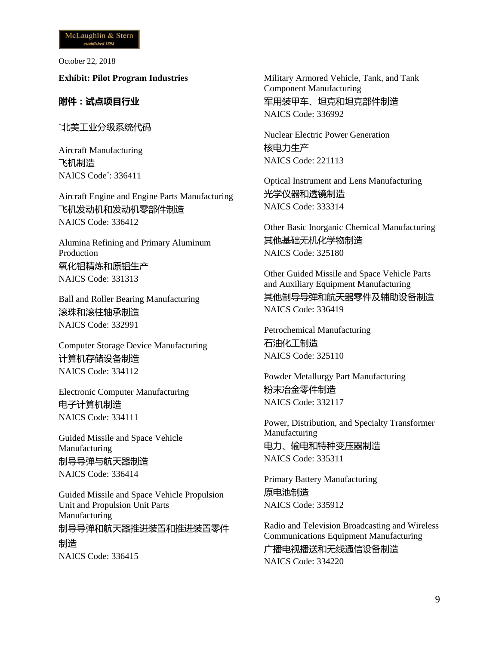**Exhibit: Pilot Program Industries**

### **附件:试点项目行业**

\*北美工业分级系统代码

Aircraft Manufacturing 飞机制造 NAICS Code\* : 336411

Aircraft Engine and Engine Parts Manufacturing 飞机发动机和发动机零部件制造 NAICS Code: 336412

Alumina Refining and Primary Aluminum Production 氧化铝精炼和原铝生产 NAICS Code: 331313

Ball and Roller Bearing Manufacturing 滚珠和滚柱轴承制造 NAICS Code: 332991

Computer Storage Device Manufacturing 计算机存储设备制造 NAICS Code: 334112

Electronic Computer Manufacturing 电子计算机制造 NAICS Code: 334111

Guided Missile and Space Vehicle Manufacturing 制导导弹与航天器制造 NAICS Code: 336414

Guided Missile and Space Vehicle Propulsion Unit and Propulsion Unit Parts Manufacturing 制导导弹和航天器推进装置和推进装置零件 制造 NAICS Code: 336415

Military Armored Vehicle, Tank, and Tank Component Manufacturing 军用装甲车、坦克和坦克部件制造 NAICS Code: 336992

Nuclear Electric Power Generation 核电力生产 NAICS Code: 221113

Optical Instrument and Lens Manufacturing 光学仪器和透镜制造 NAICS Code: 333314

Other Basic Inorganic Chemical Manufacturing 其他基础无机化学物制造 NAICS Code: 325180

Other Guided Missile and Space Vehicle Parts and Auxiliary Equipment Manufacturing 其他制导导弹和航天器零件及辅助设备制造 NAICS Code: 336419

Petrochemical Manufacturing 石油化工制造 NAICS Code: 325110

Powder Metallurgy Part Manufacturing 粉末冶金零件制造 NAICS Code: 332117

Power, Distribution, and Specialty Transformer Manufacturing 电力、输电和特种变压器制造 NAICS Code: 335311

Primary Battery Manufacturing 原电池制造 NAICS Code: 335912

Radio and Television Broadcasting and Wireless Communications Equipment Manufacturing 广播电视播送和无线通信设备制造 NAICS Code: 334220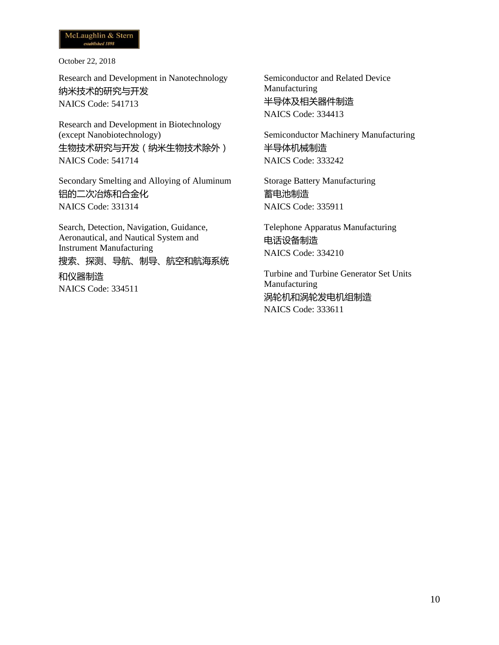Research and Development in Nanotechnology 纳米技术的研究与开发 NAICS Code: 541713

Research and Development in Biotechnology (except Nanobiotechnology) 生物技术研究与开发(纳米生物技术除外) NAICS Code: 541714

Secondary Smelting and Alloying of Aluminum 铝的二次冶炼和合金化 NAICS Code: 331314

Search, Detection, Navigation, Guidance, Aeronautical, and Nautical System and Instrument Manufacturing 搜索、探测、导航、制导、航空和航海系统 和仪器制造 NAICS Code: 334511

Semiconductor and Related Device Manufacturing 半导体及相关器件制造 NAICS Code: 334413

Semiconductor Machinery Manufacturing 半导体机械制造 NAICS Code: 333242

Storage Battery Manufacturing 蓄电池制造 NAICS Code: 335911

Telephone Apparatus Manufacturing 电话设备制造 NAICS Code: 334210

Turbine and Turbine Generator Set Units Manufacturing 涡轮机和涡轮发电机组制造 NAICS Code: 333611